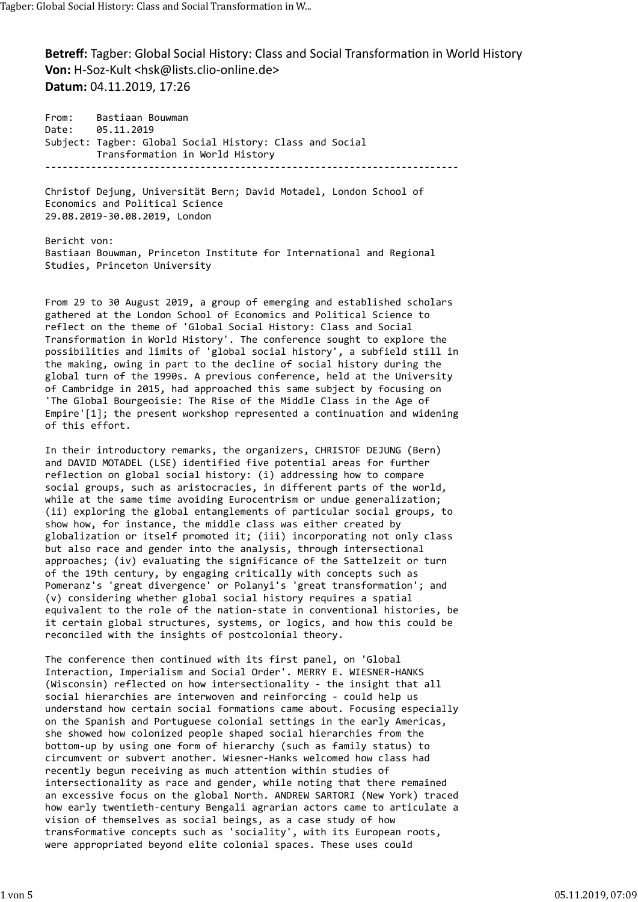Betreff: Tagber: Global Social History: Class and Social Transformation in World History Von: H-Soz-Kult <hsk@lists.clio-online.de> Datum: 04.11.2019, 17:26 Tagber: Global Social History: Class and Social Transformation in W...<br>**Betreff:** Tagber: Global Social History: Class and Social Transformation in World History<br>**Von:** H-Soz-Kult <hsk@lists.clio-online.de>

From: Bastiaan Bouwman Date: 05.11.2019 Subject: Tagber: Global Social History: Class and Social Transformation in World History ------------------------------------------------------------------------

Christof Dejung, Universität Bern; David Motadel, London School of Economics and Political Science 29.08.2019-30.08.2019, London

Bericht von: Bastiaan Bouwman, Princeton Institute for International and Regional Studies, Princeton University

From 29 to 30 August 2019, a group of emerging and established scholars gathered at the London School of Economics and Political Science to reflect on the theme of 'Global Social History: Class and Social Transformation in World History'. The conference sought to explore the possibilities and limits of 'global social history', a subfield still in the making, owing in part to the decline of social history during the global turn of the 1990s. A previous conference, held at the University of Cambridge in 2015, had approached this same subject by focusing on 'The Global Bourgeoisie: The Rise of the Middle Class in the Age of Empire'[1]; the present workshop represented a continuation and widening of this effort.

In their introductory remarks, the organizers, CHRISTOF DEJUNG (Bern) and DAVID MOTADEL (LSE) identified five potential areas for further reflection on global social history: (i) addressing how to compare social groups, such as aristocracies, in different parts of the world, while at the same time avoiding Eurocentrism or undue generalization; (ii) exploring the global entanglements of particular social groups, to show how, for instance, the middle class was either created by globalization or itself promoted it; (iii) incorporating not only class but also race and gender into the analysis, through intersectional approaches; (iv) evaluating the significance of the Sattelzeit or turn of the 19th century, by engaging critically with concepts such as Pomeranz's 'great divergence' or Polanyi's 'great transformation'; and (v) considering whether global social history requires a spatial equivalent to the role of the nation-state in conventional histories, be it certain global structures, systems, or logics, and how this could be reconciled with the insights of postcolonial theory.

The conference then continued with its first panel, on 'Global Interaction, Imperialism and Social Order'. MERRY E. WIESNER-HANKS (Wisconsin) reflected on how intersectionality - the insight that all social hierarchies are interwoven and reinforcing - could help us understand how certain social formations came about. Focusing especially on the Spanish and Portuguese colonial settings in the early Americas, she showed how colonized people shaped social hierarchies from the bottom-up by using one form of hierarchy (such as family status) to circumvent or subvert another. Wiesner-Hanks welcomed how class had recently begun receiving as much attention within studies of intersectionality as race and gender, while noting that there remained an excessive focus on the global North. ANDREW SARTORI (New York) traced how early twentieth-century Bengali agrarian actors came to articulate a vision of themselves as social beings, as a case study of how transformative concepts such as 'sociality', with its European roots, were appropriated beyond elite colonial spaces. These uses could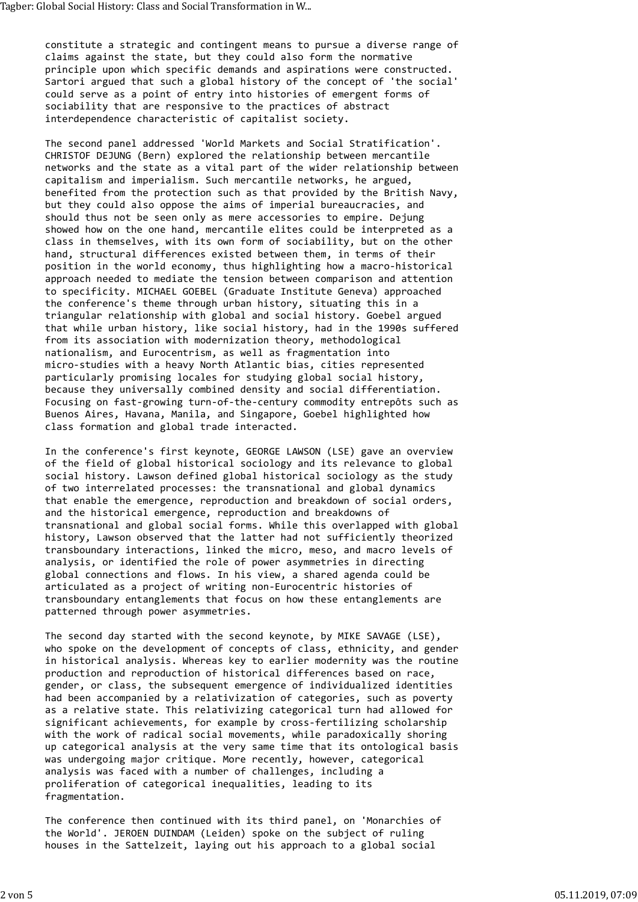constitute a strategic and contingent means to pursue a diverse range of claims against the state, but they could also form the normative principle upon which specific demands and aspirations were constructed. Sartori argued that such a global history of the concept of 'the social' could serve as a point of entry into histories of emergent forms of sociability that are responsive to the practices of abstract interdependence characteristic of capitalist society. Tagber: Global Social History: Class and Social Transformation in W...<br>constitute a strategic and contingent means to pursue a diverse range of<br>claims against the state, but they could also form the normative<br>principle upo

The second panel addressed 'World Markets and Social Stratification'. CHRISTOF DEJUNG (Bern) explored the relationship between mercantile networks and the state as a vital part of the wider relationship between capitalism and imperialism. Such mercantile networks, he argued, benefited from the protection such as that provided by the British Navy, but they could also oppose the aims of imperial bureaucracies, and should thus not be seen only as mere accessories to empire. Dejung showed how on the one hand, mercantile elites could be interpreted as a class in themselves, with its own form of sociability, but on the other hand, structural differences existed between them, in terms of their position in the world economy, thus highlighting how a macro-historical approach needed to mediate the tension between comparison and attention to specificity. MICHAEL GOEBEL (Graduate Institute Geneva) approached the conference's theme through urban history, situating this in a triangular relationship with global and social history. Goebel argued that while urban history, like social history, had in the 1990s suffered from its association with modernization theory, methodological nationalism, and Eurocentrism, as well as fragmentation into micro-studies with a heavy North Atlantic bias, cities represented particularly promising locales for studying global social history, because they universally combined density and social differentiation. Focusing on fast-growing turn-of-the-century commodity entrepôts such as Buenos Aires, Havana, Manila, and Singapore, Goebel highlighted how class formation and global trade interacted.

In the conference's first keynote, GEORGE LAWSON (LSE) gave an overview of the field of global historical sociology and its relevance to global social history. Lawson defined global historical sociology as the study of two interrelated processes: the transnational and global dynamics that enable the emergence, reproduction and breakdown of social orders, and the historical emergence, reproduction and breakdowns of transnational and global social forms. While this overlapped with global history, Lawson observed that the latter had not sufficiently theorized transboundary interactions, linked the micro, meso, and macro levels of analysis, or identified the role of power asymmetries in directing global connections and flows. In his view, a shared agenda could be articulated as a project of writing non-Eurocentric histories of transboundary entanglements that focus on how these entanglements are patterned through power asymmetries.

The second day started with the second keynote, by MIKE SAVAGE (LSE), who spoke on the development of concepts of class, ethnicity, and gender in historical analysis. Whereas key to earlier modernity was the routine production and reproduction of historical differences based on race, gender, or class, the subsequent emergence of individualized identities had been accompanied by a relativization of categories, such as poverty as a relative state. This relativizing categorical turn had allowed for significant achievements, for example by cross-fertilizing scholarship with the work of radical social movements, while paradoxically shoring up categorical analysis at the very same time that its ontological basis was undergoing major critique. More recently, however, categorical analysis was faced with a number of challenges, including a proliferation of categorical inequalities, leading to its fragmentation.

The conference then continued with its third panel, on 'Monarchies of the World'. JEROEN DUINDAM (Leiden) spoke on the subject of ruling houses in the Sattelzeit, laying out his approach to a global social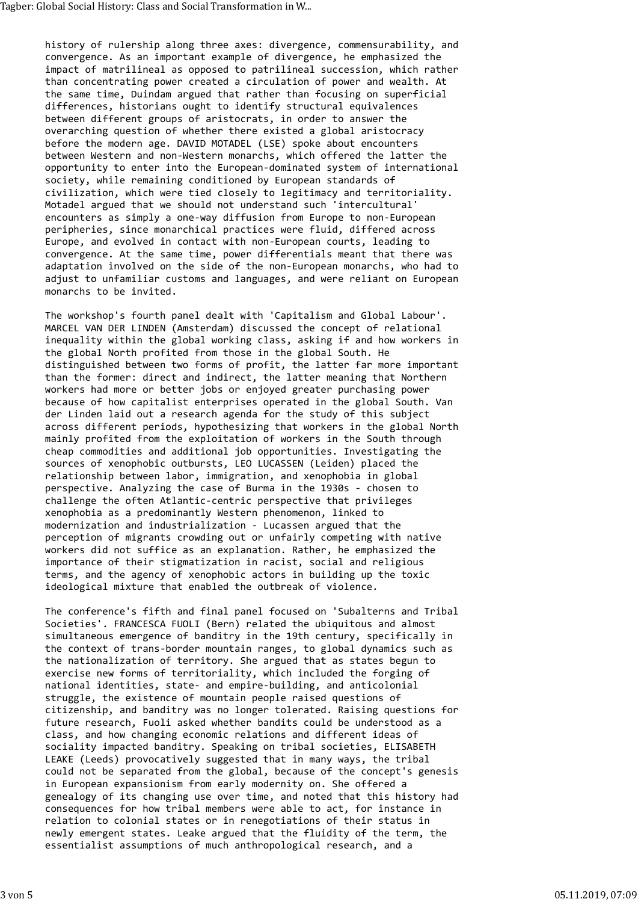history of rulership along three axes: divergence, commensurability, and convergence. As an important example of divergence, he emphasized the impact of matrilineal as opposed to patrilineal succession, which rather than concentrating power created a circulation of power and wealth. At the same time, Duindam argued that rather than focusing on superficial differences, historians ought to identify structural equivalences between different groups of aristocrats, in order to answer the overarching question of whether there existed a global aristocracy before the modern age. DAVID MOTADEL (LSE) spoke about encounters between Western and non-Western monarchs, which offered the latter the opportunity to enter into the European-dominated system of international society, while remaining conditioned by European standards of civilization, which were tied closely to legitimacy and territoriality. Motadel argued that we should not understand such 'intercultural' encounters as simply a one-way diffusion from Europe to non-European peripheries, since monarchical practices were fluid, differed across Europe, and evolved in contact with non-European courts, leading to convergence. At the same time, power differentials meant that there was adaptation involved on the side of the non-European monarchs, who had to adjust to unfamiliar customs and languages, and were reliant on European monarchs to be invited. Tagber: Global Social History: Class and Social Transformation in W…<br>history of rulership along three axes: divergence, commensurability, and<br>convergence. As an important example of divergence, he emphasized the<br>impact of

The workshop's fourth panel dealt with 'Capitalism and Global Labour'. MARCEL VAN DER LINDEN (Amsterdam) discussed the concept of relational inequality within the global working class, asking if and how workers in the global North profited from those in the global South. He distinguished between two forms of profit, the latter far more important than the former: direct and indirect, the latter meaning that Northern workers had more or better jobs or enjoyed greater purchasing power because of how capitalist enterprises operated in the global South. Van der Linden laid out a research agenda for the study of this subject across different periods, hypothesizing that workers in the global North mainly profited from the exploitation of workers in the South through cheap commodities and additional job opportunities. Investigating the sources of xenophobic outbursts, LEO LUCASSEN (Leiden) placed the relationship between labor, immigration, and xenophobia in global perspective. Analyzing the case of Burma in the 1930s - chosen to challenge the often Atlantic-centric perspective that privileges xenophobia as a predominantly Western phenomenon, linked to modernization and industrialization - Lucassen argued that the perception of migrants crowding out or unfairly competing with native workers did not suffice as an explanation. Rather, he emphasized the importance of their stigmatization in racist, social and religious terms, and the agency of xenophobic actors in building up the toxic ideological mixture that enabled the outbreak of violence.

The conference's fifth and final panel focused on 'Subalterns and Tribal Societies'. FRANCESCA FUOLI (Bern) related the ubiquitous and almost simultaneous emergence of banditry in the 19th century, specifically in the context of trans-border mountain ranges, to global dynamics such as the nationalization of territory. She argued that as states begun to exercise new forms of territoriality, which included the forging of national identities, state- and empire-building, and anticolonial struggle, the existence of mountain people raised questions of citizenship, and banditry was no longer tolerated. Raising questions for future research, Fuoli asked whether bandits could be understood as a class, and how changing economic relations and different ideas of sociality impacted banditry. Speaking on tribal societies, ELISABETH LEAKE (Leeds) provocatively suggested that in many ways, the tribal could not be separated from the global, because of the concept's genesis in European expansionism from early modernity on. She offered a genealogy of its changing use over time, and noted that this history had consequences for how tribal members were able to act, for instance in relation to colonial states or in renegotiations of their status in newly emergent states. Leake argued that the fluidity of the term, the essentialist assumptions of much anthropological research, and a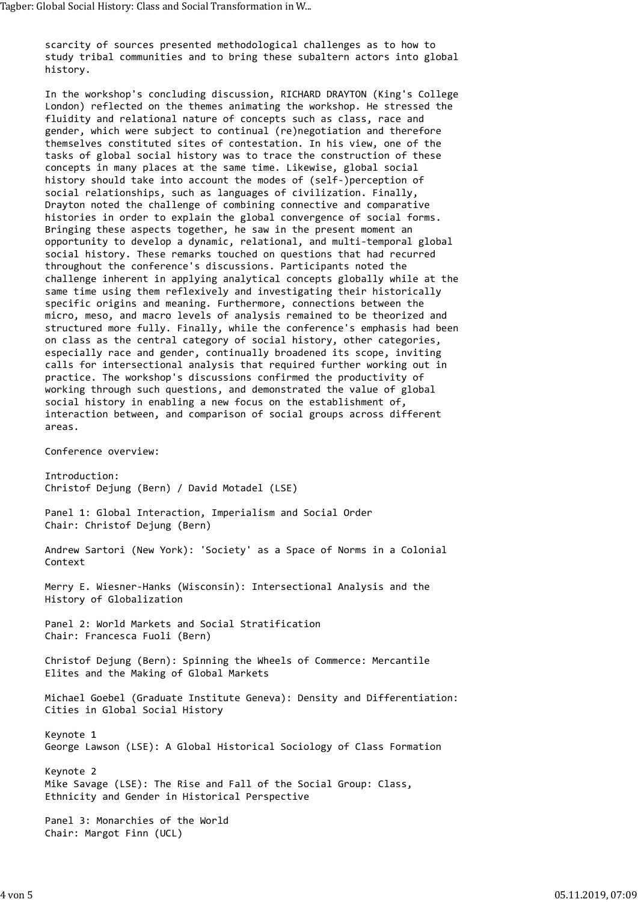scarcity of sources presented methodological challenges as to how to study tribal communities and to bring these subaltern actors into global history. Tagber: Global Social History: Class and Social Transformation in W…<br>scarcity of sources presented methodological challenges as to how to<br>study tribal communities and to bring these subaltern actors into global<br>history.

In the workshop's concluding discussion, RICHARD DRAYTON (King's College London) reflected on the themes animating the workshop. He stressed the fluidity and relational nature of concepts such as class, race and gender, which were subject to continual (re)negotiation and therefore themselves constituted sites of contestation. In his view, one of the tasks of global social history was to trace the construction of these concepts in many places at the same time. Likewise, global social history should take into account the modes of (self-)perception of social relationships, such as languages of civilization. Finally, Drayton noted the challenge of combining connective and comparative histories in order to explain the global convergence of social forms. Bringing these aspects together, he saw in the present moment an opportunity to develop a dynamic, relational, and multi-temporal global social history. These remarks touched on questions that had recurred throughout the conference's discussions. Participants noted the challenge inherent in applying analytical concepts globally while at the same time using them reflexively and investigating their historically specific origins and meaning. Furthermore, connections between the micro, meso, and macro levels of analysis remained to be theorized and structured more fully. Finally, while the conference's emphasis had been on class as the central category of social history, other categories, especially race and gender, continually broadened its scope, inviting calls for intersectional analysis that required further working out in practice. The workshop's discussions confirmed the productivity of working through such questions, and demonstrated the value of global social history in enabling a new focus on the establishment of, interaction between, and comparison of social groups across different areas.

Conference overview:

Introduction: Christof Dejung (Bern) / David Motadel (LSE) Panel 1: Global Interaction, Imperialism and Social Order Chair: Christof Dejung (Bern) Andrew Sartori (New York): 'Society' as a Space of Norms in a Colonial Context Merry E. Wiesner-Hanks (Wisconsin): Intersectional Analysis and the History of Globalization Panel 2: World Markets and Social Stratification Chair: Francesca Fuoli (Bern)

Christof Dejung (Bern): Spinning the Wheels of Commerce: Mercantile Elites and the Making of Global Markets

Michael Goebel (Graduate Institute Geneva): Density and Differentiation: Cities in Global Social History

Keynote 1 George Lawson (LSE): A Global Historical Sociology of Class Formation

Keynote 2 Mike Savage (LSE): The Rise and Fall of the Social Group: Class, Ethnicity and Gender in Historical Perspective

Panel 3: Monarchies of the World Chair: Margot Finn (UCL)